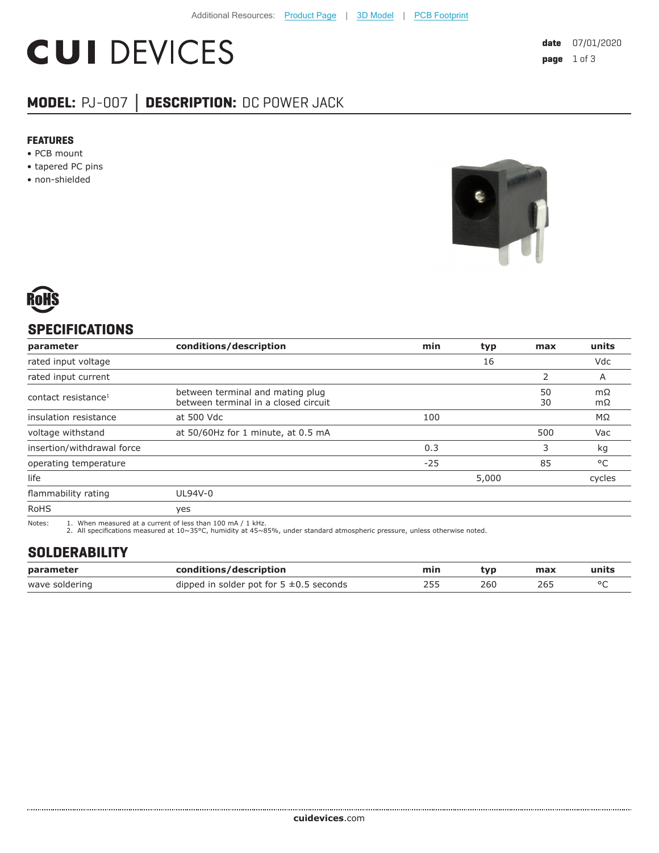# **CUI DEVICES**

# **MODEL:** PJ-007 **│ DESCRIPTION:** DC POWER JACK

#### **FEATURES**

- PCB mount
- tapered PC pins
- non-shielded





# **SPECIFICATIONS**

| parameter                       | conditions/description                                                   | min   | typ   | max      | units    |
|---------------------------------|--------------------------------------------------------------------------|-------|-------|----------|----------|
| rated input voltage             |                                                                          |       | 16    |          | Vdc      |
| rated input current             |                                                                          |       |       |          | A        |
| contact resistance <sup>1</sup> | between terminal and mating plug<br>between terminal in a closed circuit |       |       | 50<br>30 | mΩ<br>mΩ |
| insulation resistance           | at 500 Vdc                                                               | 100   |       |          | MΩ       |
| voltage withstand               | at 50/60Hz for 1 minute, at 0.5 mA                                       |       |       | 500      | Vac      |
| insertion/withdrawal force      |                                                                          | 0.3   |       | 3        | kg       |
| operating temperature           |                                                                          | $-25$ |       | 85       | °C       |
| life                            |                                                                          |       | 5,000 |          | cycles   |
| flammability rating             | UL94V-0                                                                  |       |       |          |          |
| <b>RoHS</b>                     | yes                                                                      |       |       |          |          |

Notes: 1. When measured at a current of less than 100 mA / 1 kHz. 2. All specifications measured at 10~35°C, humidity at 45~85%, under standard atmospheric pressure, unless otherwise noted.

### **SOLDERABILITY**

| parameter      | conditions/description                       | min | tvp | max | units |
|----------------|----------------------------------------------|-----|-----|-----|-------|
| wave soldering | dipped in solder pot for $5 \pm 0.5$ seconds |     | 260 |     |       |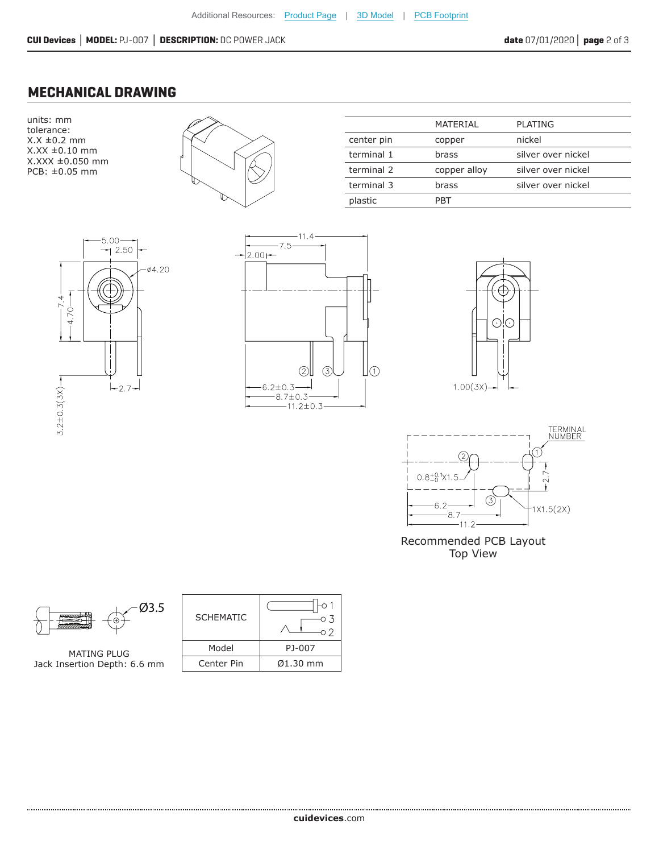## **MECHANICAL DRAWING**





|            | MATERIAL     | PLATING            |
|------------|--------------|--------------------|
| center pin | copper       | nickel             |
| terminal 1 | brass        | silver over nickel |
| terminal 2 | copper alloy | silver over nickel |
| terminal 3 | brass        | silver over nickel |
| plastic    | PRT          |                    |
|            |              |                    |









Recommended PCB Layout Top View



MATING PLUG Jack Insertion Depth: 6.6 mm

| <b>SCHEMATIC</b> |          |
|------------------|----------|
| Model            | PJ-007   |
| Center Pin       | Ø1.30 mm |